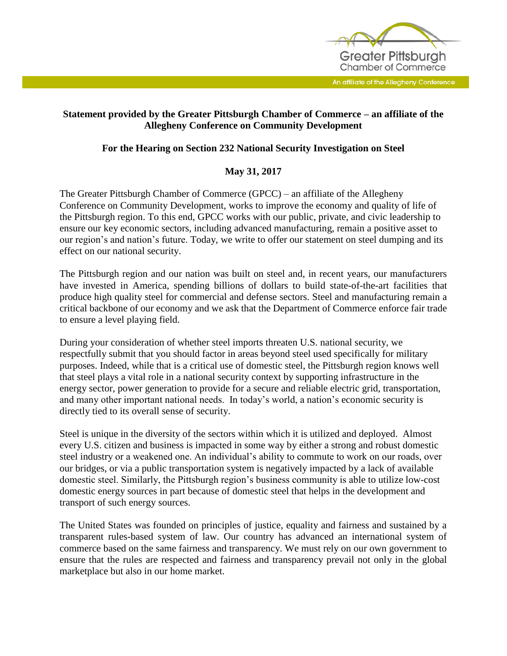

An affiliate of the Allegheny Conference

## **Statement provided by the Greater Pittsburgh Chamber of Commerce – an affiliate of the Allegheny Conference on Community Development**

## **For the Hearing on Section 232 National Security Investigation on Steel**

## **May 31, 2017**

The Greater Pittsburgh Chamber of Commerce (GPCC) – an affiliate of the Allegheny Conference on Community Development, works to improve the economy and quality of life of the Pittsburgh region. To this end, GPCC works with our public, private, and civic leadership to ensure our key economic sectors, including advanced manufacturing, remain a positive asset to our region's and nation's future. Today, we write to offer our statement on steel dumping and its effect on our national security.

The Pittsburgh region and our nation was built on steel and, in recent years, our manufacturers have invested in America, spending billions of dollars to build state-of-the-art facilities that produce high quality steel for commercial and defense sectors. Steel and manufacturing remain a critical backbone of our economy and we ask that the Department of Commerce enforce fair trade to ensure a level playing field.

During your consideration of whether steel imports threaten U.S. national security, we respectfully submit that you should factor in areas beyond steel used specifically for military purposes. Indeed, while that is a critical use of domestic steel, the Pittsburgh region knows well that steel plays a vital role in a national security context by supporting infrastructure in the energy sector, power generation to provide for a secure and reliable electric grid, transportation, and many other important national needs. In today's world, a nation's economic security is directly tied to its overall sense of security.

Steel is unique in the diversity of the sectors within which it is utilized and deployed. Almost every U.S. citizen and business is impacted in some way by either a strong and robust domestic steel industry or a weakened one. An individual's ability to commute to work on our roads, over our bridges, or via a public transportation system is negatively impacted by a lack of available domestic steel. Similarly, the Pittsburgh region's business community is able to utilize low-cost domestic energy sources in part because of domestic steel that helps in the development and transport of such energy sources.

The United States was founded on principles of justice, equality and fairness and sustained by a transparent rules-based system of law. Our country has advanced an international system of commerce based on the same fairness and transparency. We must rely on our own government to ensure that the rules are respected and fairness and transparency prevail not only in the global marketplace but also in our home market.